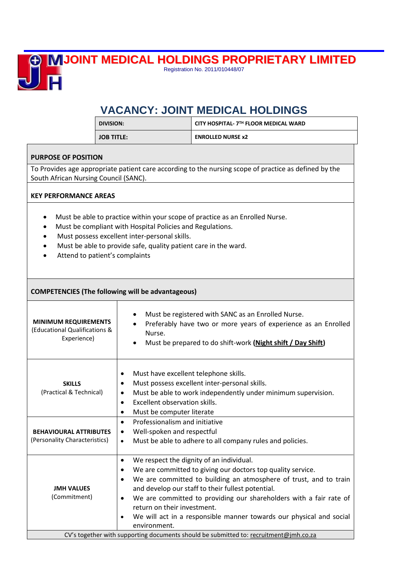

**JOINT MEDICAL HOLDINGS PROPRIETARY LIMITED** Registration No. 2011/010448/07

## **VACANCY: JOINT MEDICAL HOLDINGS**

|                                                                                                                                                                                                                                                                                                              | <b>DIVISION:</b>                                                                                                                                             | CITY HOSPITAL- 7TH FLOOR MEDICAL WARD                                                                                                                                                                                                                                                                                                                                                                                                                                   |  |
|--------------------------------------------------------------------------------------------------------------------------------------------------------------------------------------------------------------------------------------------------------------------------------------------------------------|--------------------------------------------------------------------------------------------------------------------------------------------------------------|-------------------------------------------------------------------------------------------------------------------------------------------------------------------------------------------------------------------------------------------------------------------------------------------------------------------------------------------------------------------------------------------------------------------------------------------------------------------------|--|
|                                                                                                                                                                                                                                                                                                              | <b>JOB TITLE:</b>                                                                                                                                            | <b>ENROLLED NURSE x2</b>                                                                                                                                                                                                                                                                                                                                                                                                                                                |  |
| <b>PURPOSE OF POSITION</b>                                                                                                                                                                                                                                                                                   |                                                                                                                                                              |                                                                                                                                                                                                                                                                                                                                                                                                                                                                         |  |
| South African Nursing Council (SANC).                                                                                                                                                                                                                                                                        |                                                                                                                                                              | To Provides age appropriate patient care according to the nursing scope of practice as defined by the                                                                                                                                                                                                                                                                                                                                                                   |  |
| <b>KEY PERFORMANCE AREAS</b>                                                                                                                                                                                                                                                                                 |                                                                                                                                                              |                                                                                                                                                                                                                                                                                                                                                                                                                                                                         |  |
| Must be able to practice within your scope of practice as an Enrolled Nurse.<br>$\bullet$<br>Must be compliant with Hospital Policies and Regulations.<br>Must possess excellent inter-personal skills.<br>Must be able to provide safe, quality patient care in the ward.<br>Attend to patient's complaints |                                                                                                                                                              |                                                                                                                                                                                                                                                                                                                                                                                                                                                                         |  |
| <b>COMPETENCIES (The following will be advantageous)</b>                                                                                                                                                                                                                                                     |                                                                                                                                                              |                                                                                                                                                                                                                                                                                                                                                                                                                                                                         |  |
| <b>MINIMUM REQUIREMENTS</b><br>(Educational Qualifications &<br>Experience)                                                                                                                                                                                                                                  | Nurse.                                                                                                                                                       | Must be registered with SANC as an Enrolled Nurse.<br>Preferably have two or more years of experience as an Enrolled<br>Must be prepared to do shift-work (Night shift / Day Shift)                                                                                                                                                                                                                                                                                     |  |
| <b>SKILLS</b><br>(Practical & Technical)                                                                                                                                                                                                                                                                     | Must have excellent telephone skills.<br>$\bullet$<br>٠<br>$\bullet$<br>Excellent observation skills.<br>$\bullet$<br>Must be computer literate<br>$\bullet$ | Must possess excellent inter-personal skills.<br>Must be able to work independently under minimum supervision.                                                                                                                                                                                                                                                                                                                                                          |  |
| <b>BEHAVIOURAL ATTRIBUTES</b><br>(Personality Characteristics)                                                                                                                                                                                                                                               | Professionalism and initiative<br>Well-spoken and respectful<br>$\bullet$<br>$\bullet$                                                                       | Must be able to adhere to all company rules and policies.                                                                                                                                                                                                                                                                                                                                                                                                               |  |
| <b>JMH VALUES</b><br>(Commitment)                                                                                                                                                                                                                                                                            | $\bullet$<br>٠<br>return on their investment.<br>$\bullet$<br>environment.                                                                                   | We respect the dignity of an individual.<br>We are committed to giving our doctors top quality service.<br>We are committed to building an atmosphere of trust, and to train<br>and develop our staff to their fullest potential.<br>We are committed to providing our shareholders with a fair rate of<br>We will act in a responsible manner towards our physical and social<br>CV's together with supporting documents should be submitted to: recruitment@jmh.co.za |  |